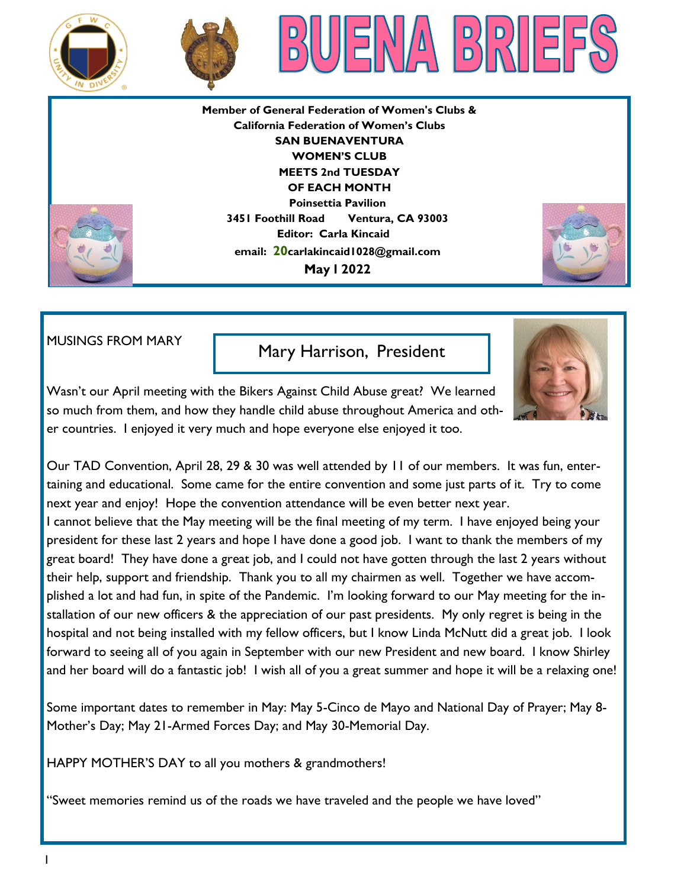





**Member of General Federation of Women's Clubs & California Federation of Women's Clubs SAN BUENAVENTURA WOMEN'S CLUB MEETS 2nd TUESDAY OF EACH MONTH Poinsettia Pavilion 3451 Foothill Road Ventura, CA 93003 Editor: Carla Kincaid email: 20carlakincaid1028@gmail.com May l 2022**



MUSINGS FROM MARY

### Mary Harrison, President



Wasn't our April meeting with the Bikers Against Child Abuse great? We learned so much from them, and how they handle child abuse throughout America and other countries. I enjoyed it very much and hope everyone else enjoyed it too.

Our TAD Convention, April 28, 29 & 30 was well attended by 11 of our members. It was fun, entertaining and educational. Some came for the entire convention and some just parts of it. Try to come next year and enjoy! Hope the convention attendance will be even better next year.

I cannot believe that the May meeting will be the final meeting of my term. I have enjoyed being your president for these last 2 years and hope I have done a good job. I want to thank the members of my great board! They have done a great job, and I could not have gotten through the last 2 years without their help, support and friendship. Thank you to all my chairmen as well. Together we have accomplished a lot and had fun, in spite of the Pandemic. I'm looking forward to our May meeting for the installation of our new officers & the appreciation of our past presidents. My only regret is being in the hospital and not being installed with my fellow officers, but I know Linda McNutt did a great job. I look forward to seeing all of you again in September with our new President and new board. I know Shirley and her board will do a fantastic job! I wish all of you a great summer and hope it will be a relaxing one!

Some important dates to remember in May: May 5-Cinco de Mayo and National Day of Prayer; May 8- Mother's Day; May 21-Armed Forces Day; and May 30-Memorial Day.

HAPPY MOTHER'S DAY to all you mothers & grandmothers!

"Sweet memories remind us of the roads we have traveled and the people we have loved"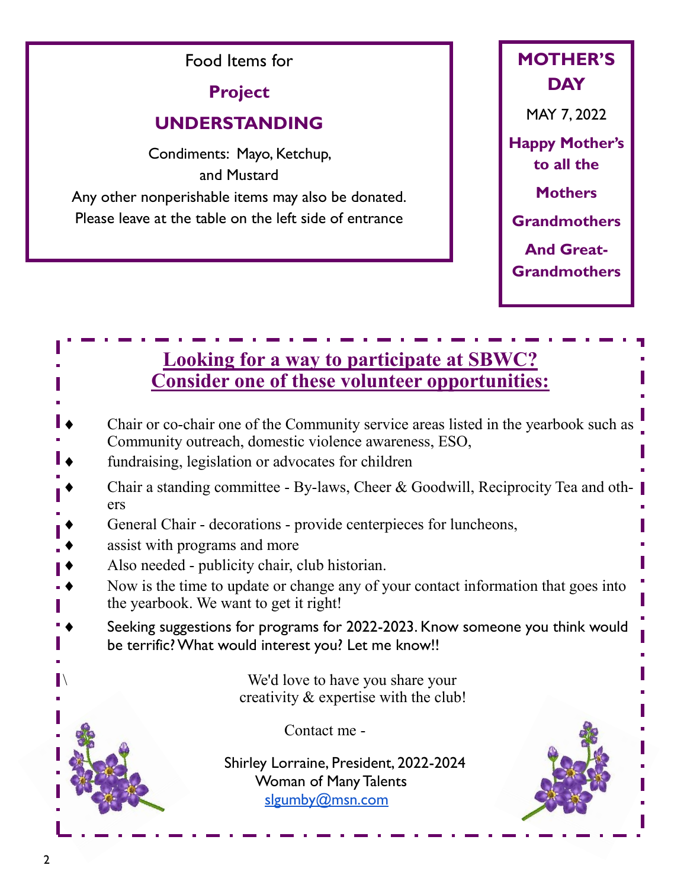Food Items for **Project UNDERSTANDING** Condiments: Mayo, Ketchup, and Mustard Any other nonperishable items may also be donated. Please leave at the table on the left side of entrance



## **Looking for a way to participate at SBWC? Consider one of these volunteer opportunities:**

- Chair or co-chair one of the Community service areas listed in the yearbook such as Community outreach, domestic violence awareness, ESO,
- fundraising, legislation or advocates for children
- Chair a standing committee By-laws, Cheer & Goodwill, Reciprocity Tea and others
- General Chair decorations provide centerpieces for luncheons,
- assist with programs and more
- Also needed publicity chair, club historian.
- Now is the time to update or change any of your contact information that goes into the yearbook. We want to get it right!
- Seeking suggestions for programs for 2022-2023. Know someone you think would be terrific? What would interest you? Let me know!!

We'd love to have you share your creativity & expertise with the club!

Contact me -

Shirley Lorraine, President, 2022-2024 Woman of Many Talents [slgumby@msn.com](mailto:slgumby@msn.com)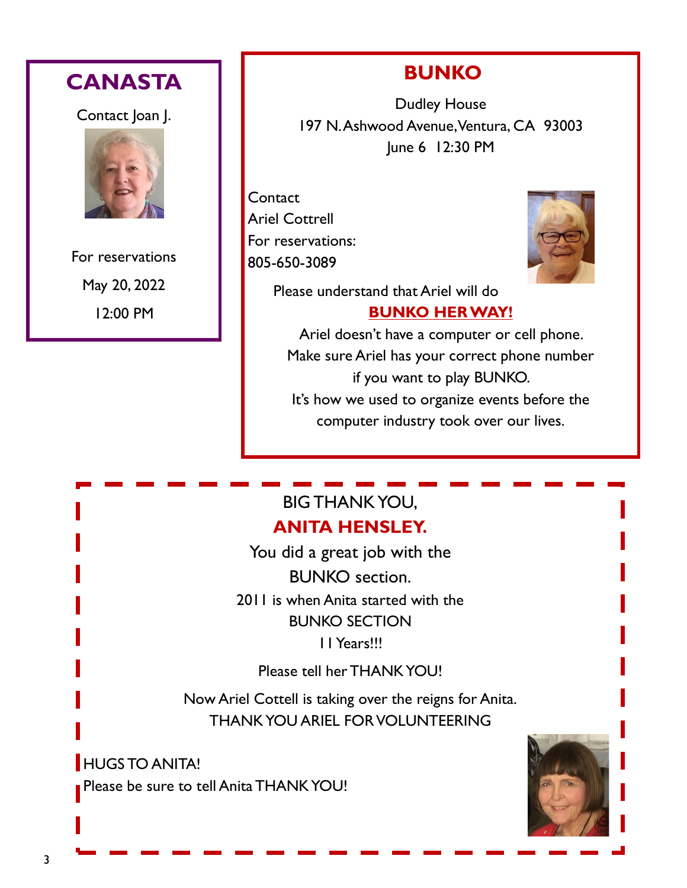

12:00 PM

# **BUNKO**

Dudley House 197 N. Ashwood Avenue, Ventura, CA 93003 June 6 12:30 PM

**Contact** Ariel Cottrell For reservations: 805-650-3089



Please understand that Ariel will do

## **BUNKO HER WAY!**

Ariel doesn't have a computer or cell phone. Make sure Ariel has your correct phone number if you want to play BUNKO. It's how we used to organize events before the computer industry took over our lives.

## BIG THANK YOU, **ANITA HENSLEY.**

You did a great job with the BUNKO section. 2011 is when Anita started with the BUNKO SECTION 11 Years!!!

Please tell her THANK YOU!

Now Ariel Cottell is taking over the reigns for Anita. THANK YOU ARIEL FOR VOLUNTEERING

**HUGS TO ANITA!** Please be sure to tell Anita THANK YOU!

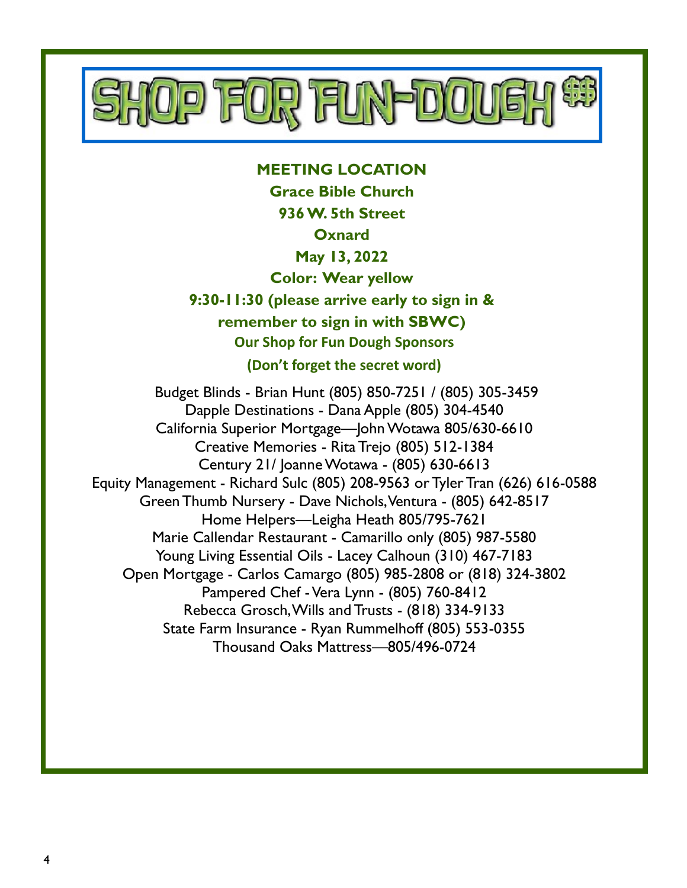

#### **MEETING LOCATION Grace Bible Church**

**936 W. 5th Street**

### **Oxnard**

## **May 13, 2022**

**Color: Wear yellow**

**9:30-11:30 (please arrive early to sign in & remember to sign in with SBWC) Our Shop for Fun Dough Sponsors (Don't forget the secret word)**

Budget Blinds - Brian Hunt (805) 850-7251 / (805) 305-3459 Dapple Destinations - Dana Apple (805) 304-4540 California Superior Mortgage—John Wotawa 805/630-6610 Creative Memories - Rita Trejo (805) 512-1384 Century 21/ Joanne Wotawa - (805) 630-6613 Equity Management - Richard Sulc (805) 208-9563 or Tyler Tran (626) 616-0588 Green Thumb Nursery - Dave Nichols, Ventura - (805) 642-8517 Home Helpers—Leigha Heath 805/795-7621 Marie Callendar Restaurant - Camarillo only (805) 987-5580 Young Living Essential Oils - Lacey Calhoun (310) 467-7183 Open Mortgage - Carlos Camargo (805) 985-2808 or (818) 324-3802 Pampered Chef -Vera Lynn - (805) 760-8412 Rebecca Grosch, Wills and Trusts - (818) 334-9133 State Farm Insurance - Ryan Rummelhoff (805) 553-0355 Thousand Oaks Mattress—805/496-0724